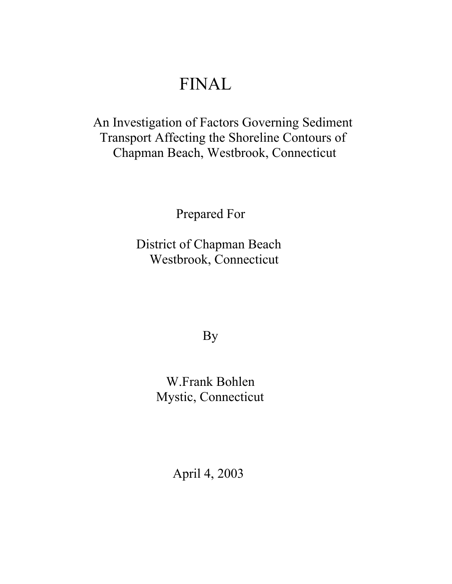# FINAL

# An Investigation of Factors Governing Sediment Transport Affecting the Shoreline Contours of Chapman Beach, Westbrook, Connecticut

Prepared For

 District of Chapman Beach Westbrook, Connecticut

By

 W.Frank Bohlen Mystic, Connecticut

April 4, 2003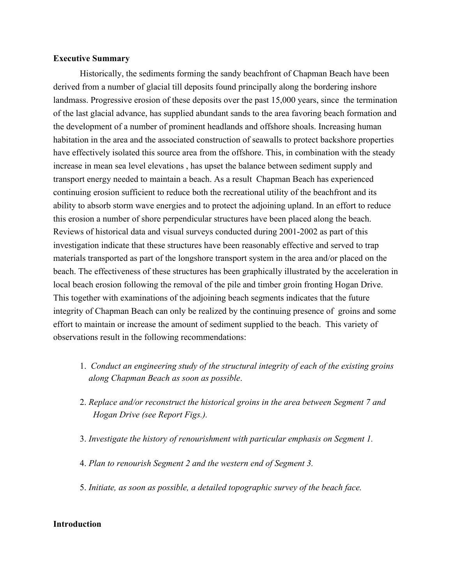## **Executive Summary**

Historically, the sediments forming the sandy beachfront of Chapman Beach have been derived from a number of glacial till deposits found principally along the bordering inshore landmass. Progressive erosion of these deposits over the past 15,000 years, since the termination of the last glacial advance, has supplied abundant sands to the area favoring beach formation and the development of a number of prominent headlands and offshore shoals. Increasing human habitation in the area and the associated construction of seawalls to protect backshore properties have effectively isolated this source area from the offshore. This, in combination with the steady increase in mean sea level elevations , has upset the balance between sediment supply and transport energy needed to maintain a beach. As a result Chapman Beach has experienced continuing erosion sufficient to reduce both the recreational utility of the beachfront and its ability to absorb storm wave energies and to protect the adjoining upland. In an effort to reduce this erosion a number of shore perpendicular structures have been placed along the beach. Reviews of historical data and visual surveys conducted during 2001-2002 as part of this investigation indicate that these structures have been reasonably effective and served to trap materials transported as part of the longshore transport system in the area and/or placed on the beach. The effectiveness of these structures has been graphically illustrated by the acceleration in local beach erosion following the removal of the pile and timber groin fronting Hogan Drive. This together with examinations of the adjoining beach segments indicates that the future integrity of Chapman Beach can only be realized by the continuing presence of groins and some effort to maintain or increase the amount of sediment supplied to the beach. This variety of observations result in the following recommendations:

- 1. *Conduct an engineering study of the structural integrity of each of the existing groins along Chapman Beach as soon as possible*.
- 2. *Replace and/or reconstruct the historical groins in the area between Segment 7 and Hogan Drive (see Report Figs.).*
- 3. *Investigate the history of renourishment with particular emphasis on Segment 1.*
- 4. *Plan to renourish Segment 2 and the western end of Segment 3.*
- 5. *Initiate, as soon as possible, a detailed topographic survey of the beach face.*

# **Introduction**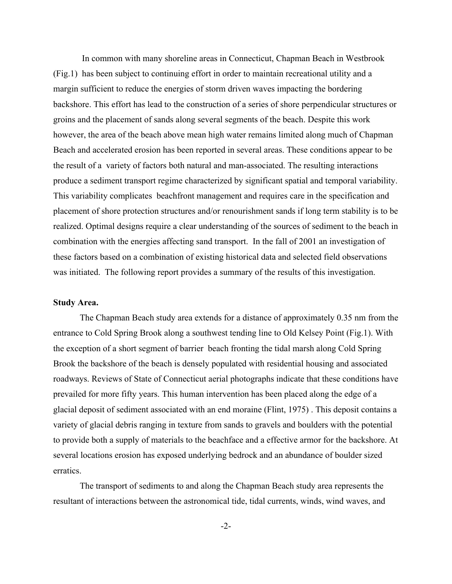In common with many shoreline areas in Connecticut, Chapman Beach in Westbrook (Fig.1) has been subject to continuing effort in order to maintain recreational utility and a margin sufficient to reduce the energies of storm driven waves impacting the bordering backshore. This effort has lead to the construction of a series of shore perpendicular structures or groins and the placement of sands along several segments of the beach. Despite this work however, the area of the beach above mean high water remains limited along much of Chapman Beach and accelerated erosion has been reported in several areas. These conditions appear to be the result of a variety of factors both natural and man-associated. The resulting interactions produce a sediment transport regime characterized by significant spatial and temporal variability. This variability complicates beachfront management and requires care in the specification and placement of shore protection structures and/or renourishment sands if long term stability is to be realized. Optimal designs require a clear understanding of the sources of sediment to the beach in combination with the energies affecting sand transport. In the fall of 2001 an investigation of these factors based on a combination of existing historical data and selected field observations was initiated. The following report provides a summary of the results of this investigation.

#### **Study Area.**

The Chapman Beach study area extends for a distance of approximately 0.35 nm from the entrance to Cold Spring Brook along a southwest tending line to Old Kelsey Point (Fig.1). With the exception of a short segment of barrier beach fronting the tidal marsh along Cold Spring Brook the backshore of the beach is densely populated with residential housing and associated roadways. Reviews of State of Connecticut aerial photographs indicate that these conditions have prevailed for more fifty years. This human intervention has been placed along the edge of a glacial deposit of sediment associated with an end moraine (Flint, 1975) . This deposit contains a variety of glacial debris ranging in texture from sands to gravels and boulders with the potential to provide both a supply of materials to the beachface and a effective armor for the backshore. At several locations erosion has exposed underlying bedrock and an abundance of boulder sized erratics.

The transport of sediments to and along the Chapman Beach study area represents the resultant of interactions between the astronomical tide, tidal currents, winds, wind waves, and

-2-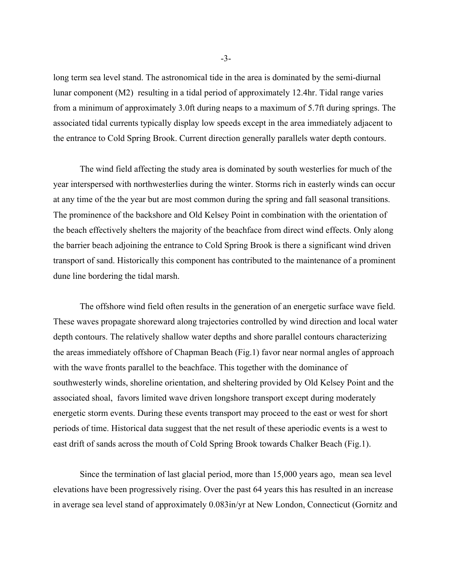long term sea level stand. The astronomical tide in the area is dominated by the semi-diurnal lunar component (M2) resulting in a tidal period of approximately 12.4hr. Tidal range varies from a minimum of approximately 3.0ft during neaps to a maximum of 5.7ft during springs. The associated tidal currents typically display low speeds except in the area immediately adjacent to the entrance to Cold Spring Brook. Current direction generally parallels water depth contours.

The wind field affecting the study area is dominated by south westerlies for much of the year interspersed with northwesterlies during the winter. Storms rich in easterly winds can occur at any time of the the year but are most common during the spring and fall seasonal transitions. The prominence of the backshore and Old Kelsey Point in combination with the orientation of the beach effectively shelters the majority of the beachface from direct wind effects. Only along the barrier beach adjoining the entrance to Cold Spring Brook is there a significant wind driven transport of sand. Historically this component has contributed to the maintenance of a prominent dune line bordering the tidal marsh.

The offshore wind field often results in the generation of an energetic surface wave field. These waves propagate shoreward along trajectories controlled by wind direction and local water depth contours. The relatively shallow water depths and shore parallel contours characterizing the areas immediately offshore of Chapman Beach (Fig.1) favor near normal angles of approach with the wave fronts parallel to the beachface. This together with the dominance of southwesterly winds, shoreline orientation, and sheltering provided by Old Kelsey Point and the associated shoal, favors limited wave driven longshore transport except during moderately energetic storm events. During these events transport may proceed to the east or west for short periods of time. Historical data suggest that the net result of these aperiodic events is a west to east drift of sands across the mouth of Cold Spring Brook towards Chalker Beach (Fig.1).

Since the termination of last glacial period, more than 15,000 years ago, mean sea level elevations have been progressively rising. Over the past 64 years this has resulted in an increase in average sea level stand of approximately 0.083in/yr at New London, Connecticut (Gornitz and

-3-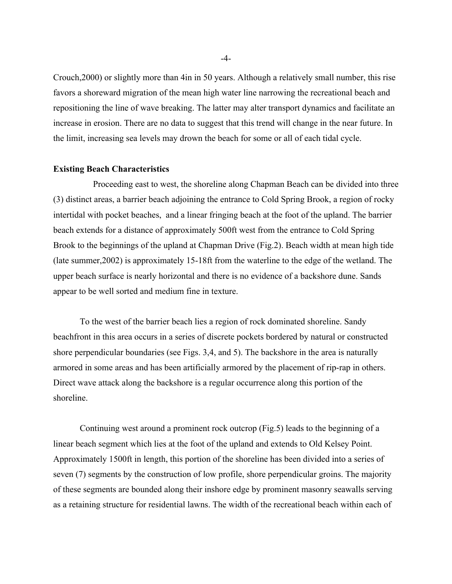Crouch,2000) or slightly more than 4in in 50 years. Although a relatively small number, this rise favors a shoreward migration of the mean high water line narrowing the recreational beach and repositioning the line of wave breaking. The latter may alter transport dynamics and facilitate an increase in erosion. There are no data to suggest that this trend will change in the near future. In the limit, increasing sea levels may drown the beach for some or all of each tidal cycle.

#### **Existing Beach Characteristics**

 Proceeding east to west, the shoreline along Chapman Beach can be divided into three (3) distinct areas, a barrier beach adjoining the entrance to Cold Spring Brook, a region of rocky intertidal with pocket beaches, and a linear fringing beach at the foot of the upland. The barrier beach extends for a distance of approximately 500ft west from the entrance to Cold Spring Brook to the beginnings of the upland at Chapman Drive (Fig.2). Beach width at mean high tide (late summer,2002) is approximately 15-18ft from the waterline to the edge of the wetland. The upper beach surface is nearly horizontal and there is no evidence of a backshore dune. Sands appear to be well sorted and medium fine in texture.

To the west of the barrier beach lies a region of rock dominated shoreline. Sandy beachfront in this area occurs in a series of discrete pockets bordered by natural or constructed shore perpendicular boundaries (see Figs. 3,4, and 5). The backshore in the area is naturally armored in some areas and has been artificially armored by the placement of rip-rap in others. Direct wave attack along the backshore is a regular occurrence along this portion of the shoreline.

Continuing west around a prominent rock outcrop (Fig.5) leads to the beginning of a linear beach segment which lies at the foot of the upland and extends to Old Kelsey Point. Approximately 1500ft in length, this portion of the shoreline has been divided into a series of seven (7) segments by the construction of low profile, shore perpendicular groins. The majority of these segments are bounded along their inshore edge by prominent masonry seawalls serving as a retaining structure for residential lawns. The width of the recreational beach within each of

-4-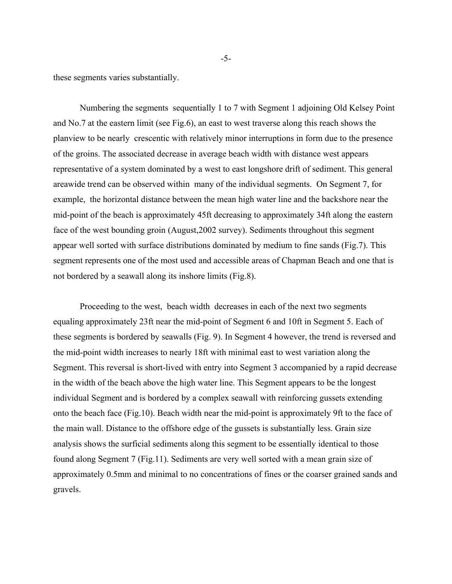these segments varies substantially.

Numbering the segments sequentially 1 to 7 with Segment 1 adjoining Old Kelsey Point and No.7 at the eastern limit (see Fig.6), an east to west traverse along this reach shows the planview to be nearly crescentic with relatively minor interruptions in form due to the presence of the groins. The associated decrease in average beach width with distance west appears representative of a system dominated by a west to east longshore drift of sediment. This general areawide trend can be observed within many of the individual segments. On Segment 7, for example, the horizontal distance between the mean high water line and the backshore near the mid-point of the beach is approximately 45ft decreasing to approximately 34ft along the eastern face of the west bounding groin (August,2002 survey). Sediments throughout this segment appear well sorted with surface distributions dominated by medium to fine sands (Fig.7). This segment represents one of the most used and accessible areas of Chapman Beach and one that is not bordered by a seawall along its inshore limits (Fig.8).

Proceeding to the west, beach width decreases in each of the next two segments equaling approximately 23ft near the mid-point of Segment 6 and 10ft in Segment 5. Each of these segments is bordered by seawalls (Fig. 9). In Segment 4 however, the trend is reversed and the mid-point width increases to nearly 18ft with minimal east to west variation along the Segment. This reversal is short-lived with entry into Segment 3 accompanied by a rapid decrease in the width of the beach above the high water line. This Segment appears to be the longest individual Segment and is bordered by a complex seawall with reinforcing gussets extending onto the beach face (Fig.10). Beach width near the mid-point is approximately 9ft to the face of the main wall. Distance to the offshore edge of the gussets is substantially less. Grain size analysis shows the surficial sediments along this segment to be essentially identical to those found along Segment 7 (Fig.11). Sediments are very well sorted with a mean grain size of approximately 0.5mm and minimal to no concentrations of fines or the coarser grained sands and gravels.

-5-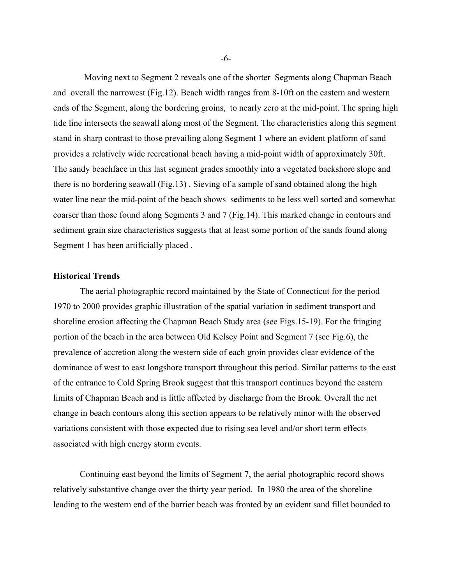Moving next to Segment 2 reveals one of the shorter Segments along Chapman Beach and overall the narrowest (Fig.12). Beach width ranges from 8-10ft on the eastern and western ends of the Segment, along the bordering groins, to nearly zero at the mid-point. The spring high tide line intersects the seawall along most of the Segment. The characteristics along this segment stand in sharp contrast to those prevailing along Segment 1 where an evident platform of sand provides a relatively wide recreational beach having a mid-point width of approximately 30ft. The sandy beachface in this last segment grades smoothly into a vegetated backshore slope and there is no bordering seawall (Fig.13) . Sieving of a sample of sand obtained along the high water line near the mid-point of the beach shows sediments to be less well sorted and somewhat coarser than those found along Segments 3 and 7 (Fig.14). This marked change in contours and sediment grain size characteristics suggests that at least some portion of the sands found along Segment 1 has been artificially placed .

## **Historical Trends**

The aerial photographic record maintained by the State of Connecticut for the period 1970 to 2000 provides graphic illustration of the spatial variation in sediment transport and shoreline erosion affecting the Chapman Beach Study area (see Figs.15-19). For the fringing portion of the beach in the area between Old Kelsey Point and Segment 7 (see Fig.6), the prevalence of accretion along the western side of each groin provides clear evidence of the dominance of west to east longshore transport throughout this period. Similar patterns to the east of the entrance to Cold Spring Brook suggest that this transport continues beyond the eastern limits of Chapman Beach and is little affected by discharge from the Brook. Overall the net change in beach contours along this section appears to be relatively minor with the observed variations consistent with those expected due to rising sea level and/or short term effects associated with high energy storm events.

Continuing east beyond the limits of Segment 7, the aerial photographic record shows relatively substantive change over the thirty year period. In 1980 the area of the shoreline leading to the western end of the barrier beach was fronted by an evident sand fillet bounded to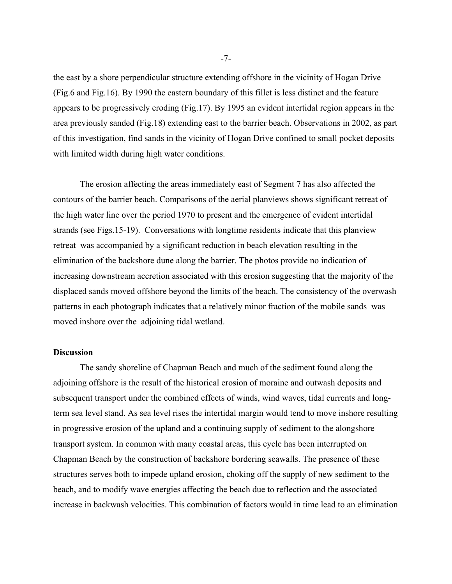the east by a shore perpendicular structure extending offshore in the vicinity of Hogan Drive (Fig.6 and Fig.16). By 1990 the eastern boundary of this fillet is less distinct and the feature appears to be progressively eroding (Fig.17). By 1995 an evident intertidal region appears in the area previously sanded (Fig.18) extending east to the barrier beach. Observations in 2002, as part of this investigation, find sands in the vicinity of Hogan Drive confined to small pocket deposits with limited width during high water conditions.

The erosion affecting the areas immediately east of Segment 7 has also affected the contours of the barrier beach. Comparisons of the aerial planviews shows significant retreat of the high water line over the period 1970 to present and the emergence of evident intertidal strands (see Figs.15-19). Conversations with longtime residents indicate that this planview retreat was accompanied by a significant reduction in beach elevation resulting in the elimination of the backshore dune along the barrier. The photos provide no indication of increasing downstream accretion associated with this erosion suggesting that the majority of the displaced sands moved offshore beyond the limits of the beach. The consistency of the overwash patterns in each photograph indicates that a relatively minor fraction of the mobile sands was moved inshore over the adjoining tidal wetland.

#### **Discussion**

The sandy shoreline of Chapman Beach and much of the sediment found along the adjoining offshore is the result of the historical erosion of moraine and outwash deposits and subsequent transport under the combined effects of winds, wind waves, tidal currents and longterm sea level stand. As sea level rises the intertidal margin would tend to move inshore resulting in progressive erosion of the upland and a continuing supply of sediment to the alongshore transport system. In common with many coastal areas, this cycle has been interrupted on Chapman Beach by the construction of backshore bordering seawalls. The presence of these structures serves both to impede upland erosion, choking off the supply of new sediment to the beach, and to modify wave energies affecting the beach due to reflection and the associated increase in backwash velocities. This combination of factors would in time lead to an elimination

-7-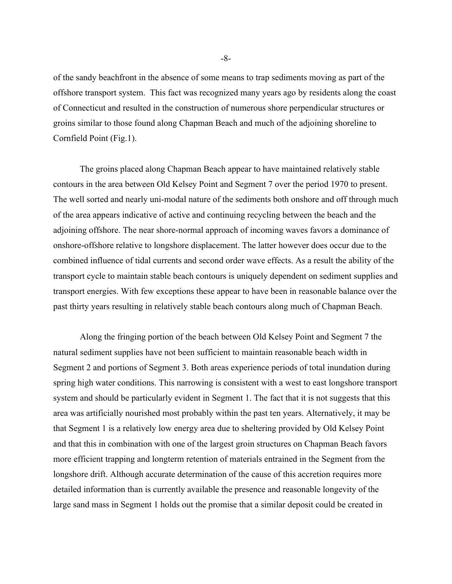of the sandy beachfront in the absence of some means to trap sediments moving as part of the offshore transport system. This fact was recognized many years ago by residents along the coast of Connecticut and resulted in the construction of numerous shore perpendicular structures or groins similar to those found along Chapman Beach and much of the adjoining shoreline to Cornfield Point (Fig.1).

The groins placed along Chapman Beach appear to have maintained relatively stable contours in the area between Old Kelsey Point and Segment 7 over the period 1970 to present. The well sorted and nearly uni-modal nature of the sediments both onshore and off through much of the area appears indicative of active and continuing recycling between the beach and the adjoining offshore. The near shore-normal approach of incoming waves favors a dominance of onshore-offshore relative to longshore displacement. The latter however does occur due to the combined influence of tidal currents and second order wave effects. As a result the ability of the transport cycle to maintain stable beach contours is uniquely dependent on sediment supplies and transport energies. With few exceptions these appear to have been in reasonable balance over the past thirty years resulting in relatively stable beach contours along much of Chapman Beach.

Along the fringing portion of the beach between Old Kelsey Point and Segment 7 the natural sediment supplies have not been sufficient to maintain reasonable beach width in Segment 2 and portions of Segment 3. Both areas experience periods of total inundation during spring high water conditions. This narrowing is consistent with a west to east longshore transport system and should be particularly evident in Segment 1. The fact that it is not suggests that this area was artificially nourished most probably within the past ten years. Alternatively, it may be that Segment 1 is a relatively low energy area due to sheltering provided by Old Kelsey Point and that this in combination with one of the largest groin structures on Chapman Beach favors more efficient trapping and longterm retention of materials entrained in the Segment from the longshore drift. Although accurate determination of the cause of this accretion requires more detailed information than is currently available the presence and reasonable longevity of the large sand mass in Segment 1 holds out the promise that a similar deposit could be created in

-8-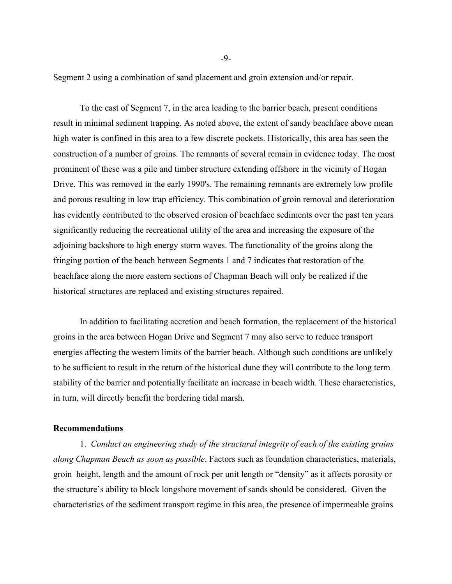Segment 2 using a combination of sand placement and groin extension and/or repair.

To the east of Segment 7, in the area leading to the barrier beach, present conditions result in minimal sediment trapping. As noted above, the extent of sandy beachface above mean high water is confined in this area to a few discrete pockets. Historically, this area has seen the construction of a number of groins. The remnants of several remain in evidence today. The most prominent of these was a pile and timber structure extending offshore in the vicinity of Hogan Drive. This was removed in the early 1990's. The remaining remnants are extremely low profile and porous resulting in low trap efficiency. This combination of groin removal and deterioration has evidently contributed to the observed erosion of beachface sediments over the past ten years significantly reducing the recreational utility of the area and increasing the exposure of the adjoining backshore to high energy storm waves. The functionality of the groins along the fringing portion of the beach between Segments 1 and 7 indicates that restoration of the beachface along the more eastern sections of Chapman Beach will only be realized if the historical structures are replaced and existing structures repaired.

In addition to facilitating accretion and beach formation, the replacement of the historical groins in the area between Hogan Drive and Segment 7 may also serve to reduce transport energies affecting the western limits of the barrier beach. Although such conditions are unlikely to be sufficient to result in the return of the historical dune they will contribute to the long term stability of the barrier and potentially facilitate an increase in beach width. These characteristics, in turn, will directly benefit the bordering tidal marsh.

#### **Recommendations**

1. *Conduct an engineering study of the structural integrity of each of the existing groins along Chapman Beach as soon as possible*. Factors such as foundation characteristics, materials, groin height, length and the amount of rock per unit length or "density" as it affects porosity or the structure's ability to block longshore movement of sands should be considered. Given the characteristics of the sediment transport regime in this area, the presence of impermeable groins

-9-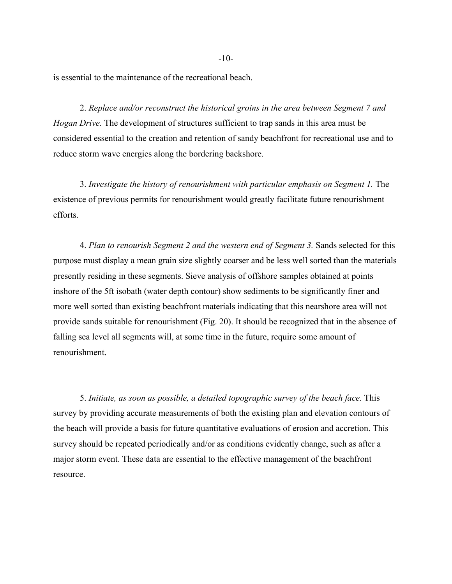is essential to the maintenance of the recreational beach.

2. *Replace and/or reconstruct the historical groins in the area between Segment 7 and Hogan Drive.* The development of structures sufficient to trap sands in this area must be considered essential to the creation and retention of sandy beachfront for recreational use and to reduce storm wave energies along the bordering backshore.

3. *Investigate the history of renourishment with particular emphasis on Segment 1.* The existence of previous permits for renourishment would greatly facilitate future renourishment efforts.

4. *Plan to renourish Segment 2 and the western end of Segment 3.* Sands selected for this purpose must display a mean grain size slightly coarser and be less well sorted than the materials presently residing in these segments. Sieve analysis of offshore samples obtained at points inshore of the 5ft isobath (water depth contour) show sediments to be significantly finer and more well sorted than existing beachfront materials indicating that this nearshore area will not provide sands suitable for renourishment (Fig. 20). It should be recognized that in the absence of falling sea level all segments will, at some time in the future, require some amount of renourishment.

5. *Initiate, as soon as possible, a detailed topographic survey of the beach face.* This survey by providing accurate measurements of both the existing plan and elevation contours of the beach will provide a basis for future quantitative evaluations of erosion and accretion. This survey should be repeated periodically and/or as conditions evidently change, such as after a major storm event. These data are essential to the effective management of the beachfront resource.